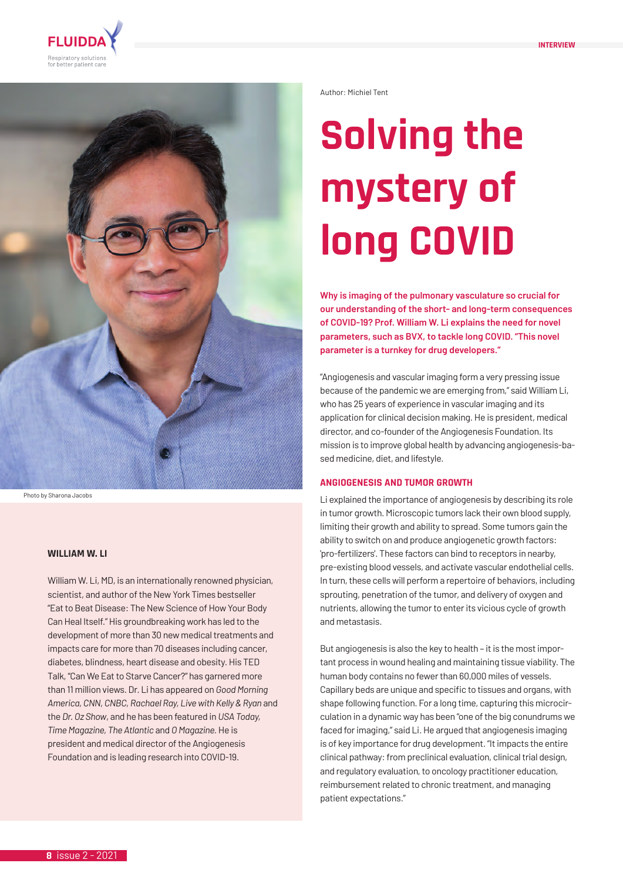



Photo by Sharona Jacobs

### **WILLIAM W. LI**

William W. Li, MD, is an internationally renowned physician, scientist, and author of the New York Times bestseller "Eat to Beat Disease: The New Science of How Your Body Can Heal Itself." His groundbreaking work has led to the development of more than 30 new medical treatments and impacts care for more than 70 diseases including cancer, diabetes, blindness, heart disease and obesity. His TED Talk, "Can We Eat to Starve Cancer?" has garnered more than 11 million views. Dr. Li has appeared on *Good Morning*  America, CNN, CNBC, Rachael Ray, Live with Kelly & Ryan and the *Dr. Oz Show*, and he has been featured in *USA Today, Time Magazine, The Atlantic* and *O Magazine.* He is president and medical director of the Angiogenesis Foundation and is leading research into COVID-19.

Author: Michiel Tent

# **Solving the mystery of long COVID**

**Why is imaging of the pulmonary vasculature so crucial for our understanding of the short- and long-term consequences of COVID-19? Prof. William W. Li explains the need for novel parameters, such as BVX, to tackle long COVID. "This novel parameter is a turnkey for drug developers."**

"Angiogenesis and vascular imaging form a very pressing issue because of the pandemic we are emerging from," said William Li, who has 25 years of experience in vascular imaging and its application for clinical decision making. He is president, medical director, and co-founder of the Angiogenesis Foundation. Its mission is to improve global health by advancing angiogenesis-based medicine, diet, and lifestyle.

## **ANGIOGENESIS AND TUMOR GROWTH**

Li explained the importance of angiogenesis by describing its role in tumor growth. Microscopic tumors lack their own blood supply, limiting their growth and ability to spread. Some tumors gain the ability to switch on and produce angiogenetic growth factors: 'pro-fertilizers'. These factors can bind to receptors in nearby, pre-existing blood vessels, and activate vascular endothelial cells. In turn, these cells will perform a repertoire of behaviors, including sprouting, penetration of the tumor, and delivery of oxygen and nutrients, allowing the tumor to enter its vicious cycle of growth and metastasis.

But angiogenesis is also the key to health – it is the most important process in wound healing and maintaining tissue viability. The human body contains no fewer than 60,000 miles of vessels. Capillary beds are unique and specific to tissues and organs, with shape following function. For a long time, capturing this microcirculation in a dynamic way has been "one of the big conundrums we faced for imaging," said Li. He argued that angiogenesis imaging is of key importance for drug development. "It impacts the entire clinical pathway: from preclinical evaluation, clinical trial design, and regulatory evaluation, to oncology practitioner education, reimbursement related to chronic treatment, and managing patient expectations."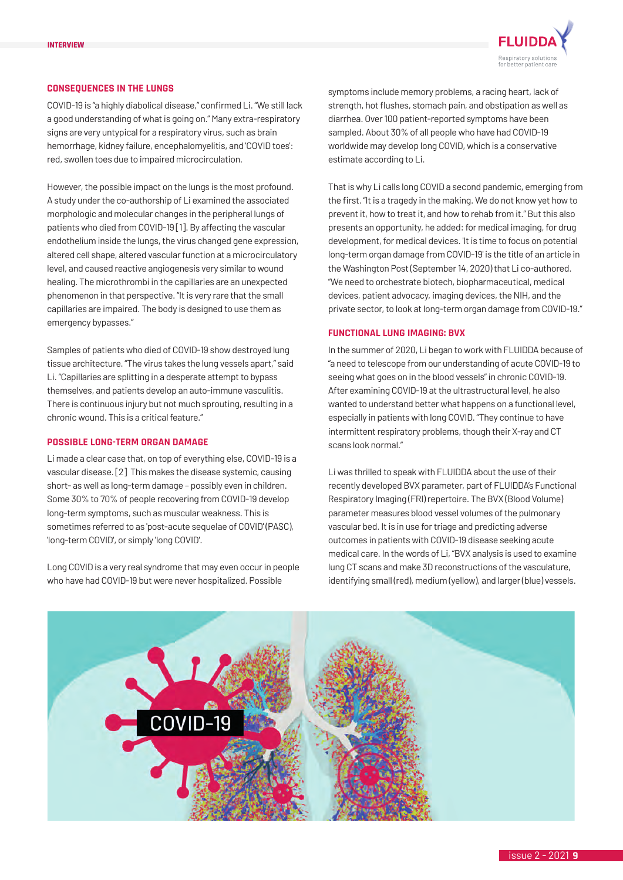

## **CONSEQUENCES IN THE LUNGS**

COVID-19 is "a highly diabolical disease," confirmed Li. "We still lack a good understanding of what is going on." Many extra-respiratory signs are very untypical for a respiratory virus, such as brain hemorrhage, kidney failure, encephalomyelitis, and 'COVID toes': red, swollen toes due to impaired microcirculation.

However, the possible impact on the lungs is the most profound. A study under the co-authorship of Li examined the associated morphologic and molecular changes in the peripheral lungs of patients who died from COVID-19 [1]. By affecting the vascular endothelium inside the lungs, the virus changed gene expression, altered cell shape, altered vascular function at a microcirculatory level, and caused reactive angiogenesis very similar to wound healing. The microthrombi in the capillaries are an unexpected phenomenon in that perspective. "It is very rare that the small capillaries are impaired. The body is designed to use them as emergency bypasses."

Samples of patients who died of COVID-19 show destroyed lung tissue architecture. "The virus takes the lung vessels apart," said Li. "Capillaries are splitting in a desperate attempt to bypass themselves, and patients develop an auto-immune vasculitis. There is continuous injury but not much sprouting, resulting in a chronic wound. This is a critical feature."

# **POSSIBLE LONG-TERM ORGAN DAMAGE**

Li made a clear case that, on top of everything else, COVID-19 is a vascular disease. [2] This makes the disease systemic, causing short- as well as long-term damage – possibly even in children. Some 30% to 70% of people recovering from COVID-19 develop long-term symptoms, such as muscular weakness. This is sometimes referred to as 'post-acute sequelae of COVID' (PASC), 'long-term COVID', or simply 'long COVID'.

Long COVID is a very real syndrome that may even occur in people who have had COVID-19 but were never hospitalized. Possible

symptoms include memory problems, a racing heart, lack of strength, hot flushes, stomach pain, and obstipation as well as diarrhea. Over 100 patient-reported symptoms have been sampled. About 30% of all people who have had COVID-19 worldwide may develop long COVID, which is a conservative estimate according to Li.

That is why Li calls long COVID a second pandemic, emerging from the first. "It is a tragedy in the making. We do not know yet how to prevent it, how to treat it, and how to rehab from it." But this also presents an opportunity, he added: for medical imaging, for drug development, for medical devices. 'It is time to focus on potential long-term organ damage from COVID-19' is the title of an article in the Washington Post (September 14, 2020) that Li co-authored. "We need to orchestrate biotech, biopharmaceutical, medical devices, patient advocacy, imaging devices, the NIH, and the private sector, to look at long-term organ damage from COVID-19."

## **FUNCTIONAL LUNG IMAGING: BVX**

In the summer of 2020, Li began to work with FLUIDDA because of "a need to telescope from our understanding of acute COVID-19 to seeing what goes on in the blood vessels" in chronic COVID-19. After examining COVID-19 at the ultrastructural level, he also wanted to understand better what happens on a functional level, especially in patients with long COVID. "They continue to have intermittent respiratory problems, though their X-ray and CT scans look normal."

Li was thrilled to speak with FLUIDDA about the use of their recently developed BVX parameter, part of FLUIDDA's Functional Respiratory Imaging (FRI) repertoire. The BVX (Blood Volume) parameter measures blood vessel volumes of the pulmonary vascular bed. It is in use for triage and predicting adverse outcomes in patients with COVID-19 disease seeking acute medical care. In the words of Li, "BVX analysis is used to examine lung CT scans and make 3D reconstructions of the vasculature, identifying small (red), medium (yellow), and larger (blue) vessels.